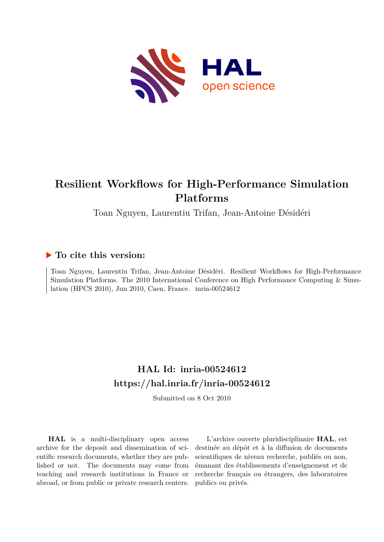

# **Resilient Workflows for High-Performance Simulation Platforms**

Toan Nguyen, Laurentiu Trifan, Jean-Antoine Désidéri

# **To cite this version:**

Toan Nguyen, Laurentiu Trifan, Jean-Antoine Désidéri. Resilient Workflows for High-Performance Simulation Platforms. The 2010 International Conference on High Performance Computing & Simulation (HPCS 2010), Jun 2010, Caen, France. inria-00524612

# **HAL Id: inria-00524612 <https://hal.inria.fr/inria-00524612>**

Submitted on 8 Oct 2010

**HAL** is a multi-disciplinary open access archive for the deposit and dissemination of scientific research documents, whether they are published or not. The documents may come from teaching and research institutions in France or abroad, or from public or private research centers.

L'archive ouverte pluridisciplinaire **HAL**, est destinée au dépôt et à la diffusion de documents scientifiques de niveau recherche, publiés ou non, émanant des établissements d'enseignement et de recherche français ou étrangers, des laboratoires publics ou privés.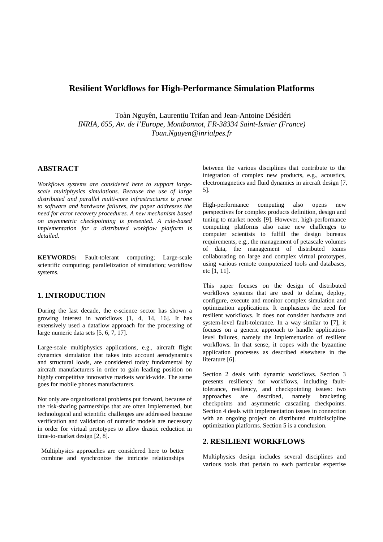# **Resilient Workflows for High-Performance Simulation Platforms**

Toàn Nguyên, Laurentiu Trifan and Jean-Antoine Désidéri *INRIA, 655, Av. de l'Europe, Montbonnot, FR-38334 Saint-Ismier (France) Toan.Nguyen@inrialpes.fr* 

## **ABSTRACT**

*Workflows systems are considered here to support largescale multiphysics simulations. Because the use of large distributed and parallel multi-core infrastructures is prone to software and hardware failures, the paper addresses the need for error recovery procedures. A new mechanism based on asymmetric checkpointing is presented. A rule-based implementation for a distributed workflow platform is detailed.* 

**KEYWORDS:** Fault-tolerant computing; Large-scale scientific computing; parallelization of simulation; workflow systems.

# **1. INTRODUCTION**

During the last decade, the e-science sector has shown a growing interest in workflows [1, 4, 14, 16]. It has extensively used a dataflow approach for the processing of large numeric data sets [5, 6, 7, 17].

Large-scale multiphysics applications, e.g., aircraft flight dynamics simulation that takes into account aerodynamics and structural loads, are considered today fundamental by aircraft manufacturers in order to gain leading position on highly competitive innovative markets world-wide. The same goes for mobile phones manufacturers.

Not only are organizational problems put forward, because of the risk-sharing partnerships that are often implemented, but technological and scientific challenges are addressed because verification and validation of numeric models are necessary in order for virtual prototypes to allow drastic reduction in time-to-market design [2, 8].

Multiphysics approaches are considered here to better combine and synchronize the intricate relationships

between the various disciplines that contribute to the integration of complex new products, e.g., acoustics, electromagnetics and fluid dynamics in aircraft design [7, 5].

High-performance computing also opens new perspectives for complex products definition, design and tuning to market needs [9]. However, high-performance computing platforms also raise new challenges to computer scientists to fulfill the design bureaus requirements, e.g., the management of petascale volumes of data, the management of distributed teams collaborating on large and complex virtual prototypes, using various remote computerized tools and databases, etc [1, 11].

This paper focuses on the design of distributed workflows systems that are used to define, deploy, configure, execute and monitor complex simulation and optimization applications. It emphasizes the need for resilient workflows. It does not consider hardware and system-level fault-tolerance. In a way similar to [7], it focuses on a generic approach to handle applicationlevel failures, namely the implementation of resilient workflows. In that sense, it copes with the byzantine application processes as described elsewhere in the literature [6].

Section 2 deals with dynamic workflows. Section 3 presents resiliency for workflows, including faulttolerance, resiliency, and checkpointing issues: two approaches are described, namely bracketing checkpoints and asymmetric cascading checkpoints. Section 4 deals with implementation issues in connection with an ongoing project on distributed multidiscipline optimization platforms. Section 5 is a conclusion.

#### **2. RESILIENT WORKFLOWS**

Multiphysics design includes several disciplines and various tools that pertain to each particular expertise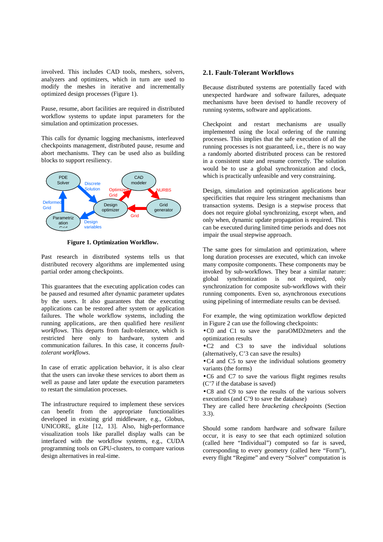involved. This includes CAD tools, meshers, solvers, analyzers and optimizers, which in turn are used to modify the meshes in iterative and incrementally optimized design processes (Figure 1).

Pause, resume, abort facilities are required in distributed workflow systems to update input parameters for the simulation and optimization processes.

This calls for dynamic logging mechanisms, interleaved checkpoints management, distributed pause, resume and abort mechanisms. They can be used also as building blocks to support resiliency.



**Figure 1. Optimization Workflow.** 

Past research in distributed systems tells us that distributed recovery algorithms are implemented using partial order among checkpoints.

This guarantees that the executing application codes can be paused and resumed after dynamic parameter updates by the users. It also guarantees that the executing applications can be restored after system or application failures. The whole workflow systems, including the running applications, are then qualified here *resilient workflows*. This departs from fault-tolerance, which is restricted here only to hardware, system and communication failures. In this case, it concerns *faulttolerant workflows*.

In case of erratic application behavior, it is also clear that the users can invoke these services to abort them as well as pause and later update the execution parameters to restart the simulation processes.

The infrastructure required to implement these services can benefit from the appropriate functionalities developed in existing grid middleware, e.g., Globus, UNICORE, gLite [12, 13]. Also, high-performance visualization tools like parallel display walls can be interfaced with the workflow systems, e.g., CUDA programming tools on GPU-clusters, to compare various design alternatives in real-time.

#### **2.1. Fault-Tolerant Workflows**

Because distributed systems are potentially faced with unexpected hardware and software failures, adequate mechanisms have been devised to handle recovery of running systems, software and applications.

Checkpoint and restart mechanisms are usually implemented using the local ordering of the running processes. This implies that the safe execution of all the running processes is not guaranteed, i.e., there is no way a randomly aborted distributed process can be restored in a consistent state and resume correctly. The solution would be to use a global synchronization and clock, which is practically unfeasible and very constraining.

Design, simulation and optimization applications bear specificities that require less stringent mechanisms than transaction systems. Design is a stepwise process that does not require global synchronizing, except when, and only when, dynamic update propagation is required. This can be executed during limited time periods and does not impair the usual stepwise approach.

The same goes for simulation and optimization, where long duration processes are executed, which can invoke many composite components. These components may be invoked by sub-workflows. They bear a similar nature: global synchronization is not required, only synchronization for composite sub-workflows with their running components. Even so, asynchronous executions using pipelining of intermediate results can be devised.

For example, the wing optimization workflow depicted in Figure 2 can use the following checkpoints:

•C0 and C1 to save the paraOMD2meters and the optimization results

•C2 and C3 to save the individual solutions (alternatively, C'3 can save the results)

•C4 and C5 to save the individual solutions geometry variants (the forms)

•C6 and C7 to save the various flight regimes results (C'7 if the database is saved)

•C8 and C9 to save the results of the various solvers executions (and C'9 to save the database)

They are called here *bracketing checkpoints* (Section 3.3).

Should some random hardware and software failure occur, it is easy to see that each optimized solution (called here "Individual") computed so far is saved, corresponding to every geometry (called here "Form"), every flight "Regime" and every "Solver" computation is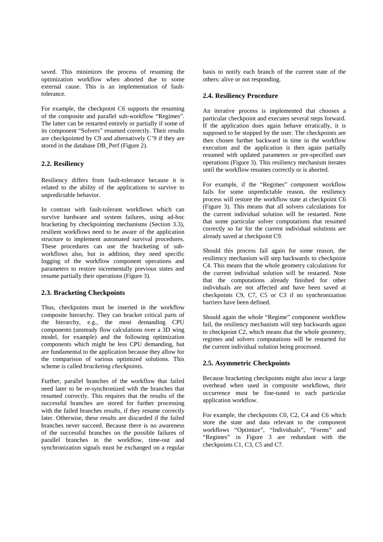saved. This minimizes the process of resuming the optimization workflow when aborted due to some external cause. This is an implementation of faulttolerance.

For example, the checkpoint C6 supports the resuming of the composite and parallel sub-workflow "Regimes". The latter can be restarted entirely or partially if some of its component "Solvers" resumed correctly. Their results are checkpointed by C9 and alternatively C'9 if they are stored in the database DB Perf (Figure 2).

#### **2.2. Resiliency**

Resiliency differs from fault-tolerance because it is related to the ability of the applications to survive to unpredictable behavior.

In contrast with fault-tolerant workflows which can survive hardware and system failures, using ad-hoc bracketing by checkpointing mechanisms (Section 3.3), resilient workflows need to be aware of the application structure to implement automated survival procedures. These procedures can use the bracketing of subworkflows also, but in addition, they need specific logging of the workflow component operations and parameters to restore incrementally previous states and resume partially their operations (Figure 3).

#### **2.3. Bracketing Checkpoints**

Thus, checkpoints must be inserted in the workflow composite hierarchy. They can bracket critical parts of the hierarchy, e.g., the most demanding CPU components (unsteady flow calculations over a 3D wing model, for example) and the following optimization components which might be less CPU demanding, but are fundamental to the application because they allow for the comparison of various optimized solutions. This scheme is called *bracketing checkpoints*.

Further, parallel branches of the workflow that failed need later to be re-synchronized with the branches that resumed correctly. This requires that the results of the successful branches are stored for further processing with the failed branches results, if they resume correctly later. Otherwise, these results are discarded if the failed branches never succeed. Because there is no awareness of the successful branches on the possible failures of parallel branches in the workflow, time-out and synchronization signals must be exchanged on a regular

basis to notify each branch of the current state of the others: alive or not responding.

#### **2.4. Resiliency Procedure**

An iterative process is implemented that chooses a particular checkpoint and executes several steps forward. If the application does again behave erratically, it is supposed to be stopped by the user. The checkpoints are then chosen further backward in time in the workflow execution and the application is then again partially resumed with updated parameters or pre-specified user operations (Figure 3). This resiliency mechanism iterates until the workflow resumes correctly or is aborted.

For example, if the "Regimes" component workflow fails for some unpredictable reason, the resiliency process will restore the workflow state at checkpoint C6 (Figure 3). This means that all solvers calculations for the current individual solution will be restarted. Note that some particular solver computations that resumed correctly so far for the current individual solutions are already saved at checkpoint C9.

Should this process fail again for some reason, the resiliency mechanism will step backwards to checkpoint C4. This means that the whole geometry calculations for the current individual solution will be restarted. Note that the computations already finished for other individuals are not affected and have been saved at checkpoints C9, C7, C5 or C3 if no synchronization barriers have been defined.

Should again the whole "Regime" component workflow fail, the resiliency mechanism will step backwards again to checkpoint C2, which means that the whole geometry, regimes and solvers computations will be restarted for the current individual solution being processed.

## **2.5. Asymmetric Checkpoints**

Because bracketing checkpoints might also incur a large overhead when used in composite workflows, their occurrence must be fine-tuned to each particular application workflow.

For example, the checkpoints C0, C2, C4 and C6 which store the state and data relevant to the component workflows "Optimize", "Individuals", "Forms" and "Regimes" in Figure 3 are redundant with the checkpoints C1, C3, C5 and C7.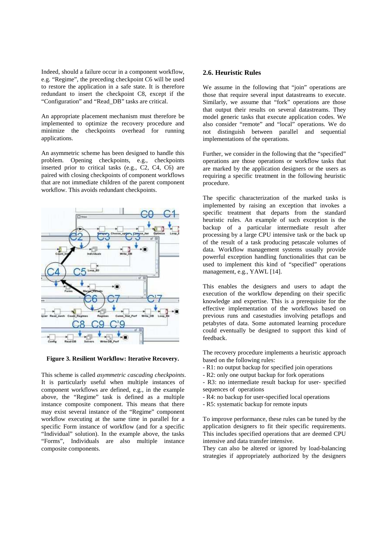Indeed, should a failure occur in a component workflow, e.g. "Regime", the preceding checkpoint C6 will be used to restore the application in a safe state. It is therefore redundant to insert the checkpoint C8, except if the "Configuration" and "Read\_DB" tasks are critical.

An appropriate placement mechanism must therefore be implemented to optimize the recovery procedure and minimize the checkpoints overhead for running applications.

An asymmetric scheme has been designed to handle this problem. Opening checkpoints, e.g., checkpoints inserted prior to critical tasks (e.g., C2, C4, C6) are paired with closing checkpoints of component workflows that are not immediate children of the parent component workflow. This avoids redundant checkpoints.



**Figure 3. Resilient Workflow: Iterative Recovery.** 

This scheme is called *asymmetric cascading checkpoints*. It is particularly useful when multiple instances of component workflows are defined, e.g., in the example above, the "Regime" task is defined as a multiple instance composite component. This means that there may exist several instance of the "Regime" component workflow executing at the same time in parallel for a specific Form instance of workflow (and for a specific "Individual" solution). In the example above, the tasks "Forms", Individuals are also multiple instance composite components.

#### **2.6. Heuristic Rules**

We assume in the following that "join" operations are those that require several input datastreams to execute. Similarly, we assume that "fork" operations are those that output their results on several datastreams. They model generic tasks that execute application codes. We also consider "remote" and "local" operations. We do not distinguish between parallel and sequential implementations of the operations.

Further, we consider in the following that the "specified" operations are those operations or workflow tasks that are marked by the application designers or the users as requiring a specific treatment in the following heuristic procedure.

The specific characterization of the marked tasks is implemented by raising an exception that invokes a specific treatment that departs from the standard heuristic rules. An example of such exception is the backup of a particular intermediate result after processing by a large CPU intensive task or the back up of the result of a task producing petascale volumes of data. Workflow management systems usually provide powerful exception handling functionalities that can be used to implement this kind of "specified" operations management, e.g., YAWL [14].

This enables the designers and users to adapt the execution of the workflow depending on their specific knowledge and expertise. This is a prerequisite for the effective implementation of the workflows based on previous runs and casestudies involving petaflops and petabytes of data. Some automated learning procedure could eventually be designed to support this kind of feedback.

The recovery procedure implements a heuristic approach based on the following rules:

- R1: no output backup for specified join operations
- R2: only one output backup for fork operations

- R3: no intermediate result backup for user- specified sequences of operations

- R4: no backup for user-specified local operations
- R5: systematic backup for remote inputs

To improve performance, these rules can be tuned by the application designers to fit their specific requirements. This includes specified operations that are deemed CPU intensive and data transfer intensive.

They can also be altered or ignored by load-balancing strategies if appropriately authorized by the designers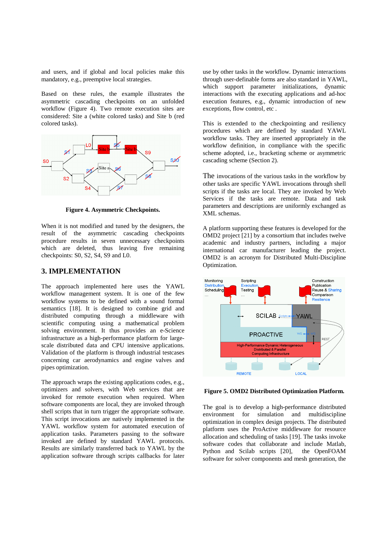and users, and if global and local policies make this mandatory, e.g., preemptive local strategies.

Based on these rules, the example illustrates the asymmetric cascading checkpoints on an unfolded workflow (Figure 4). Two remote execution sites are considered: Site a (white colored tasks) and Site b (red colored tasks).



**Figure 4. Asymmetric Checkpoints.** 

When it is not modified and tuned by the designers, the result of the asymmetric cascading checkpoints procedure results in seven unnecessary checkpoints which are deleted, thus leaving five remaining checkpoints: S0, S2, S4, S9 and L0.

#### **3. IMPLEMENTATION**

The approach implemented here uses the YAWL workflow management system. It is one of the few workflow systems to be defined with a sound formal semantics [18]. It is designed to combine grid and distributed computing through a middleware with scientific computing using a mathematical problem solving environment. It thus provides an e-Science infrastructure as a high-performance platform for largescale distributed data and CPU intensive applications. Validation of the platform is through industrial testcases concerning car aerodynamics and engine valves and pipes optimization.

The approach wraps the existing applications codes, e.g., optimizers and solvers, with Web services that are invoked for remote execution when required. When software components are local, they are invoked through shell scripts that in turn trigger the appropriate software. This script invocations are natively implemented in the YAWL workflow system for automated execution of application tasks. Parameters passing to the software invoked are defined by standard YAWL protocols. Results are similarly transferred back to YAWL by the application software through scripts callbacks for later

use by other tasks in the workflow. Dynamic interactions through user-definable forms are also standard in YAWL, which support parameter initializations, dynamic interactions with the executing applications and ad-hoc execution features, e.g., dynamic introduction of new exceptions, flow control, etc .

This is extended to the checkpointing and resiliency procedures which are defined by standard YAWL workflow tasks. They are inserted appropriately in the workflow definition, in compliance with the specific scheme adopted, i.e., bracketing scheme or asymmetric cascading scheme (Section 2).

The invocations of the various tasks in the workflow by other tasks are specific YAWL invocations through shell scripts if the tasks are local. They are invoked by Web Services if the tasks are remote. Data and task parameters and descriptions are uniformly exchanged as XML schemas.

A platform supporting these features is developed for the OMD2 project [21] by a consortium that includes twelve academic and industry partners, including a major international car manufacturer leading the project. OMD2 is an acronym for Distributed Multi-Discipline Optimization.



**Figure 5. OMD2 Distributed Optimization Platform.** 

The goal is to develop a high-performance distributed environment for simulation and multidiscipline optimization in complex design projects. The distributed platform uses the ProActive middleware for resource allocation and scheduling of tasks [19]. The tasks invoke software codes that collaborate and include Matlab, Python and Scilab scripts [20], the OpenFOAM software for solver components and mesh generation, the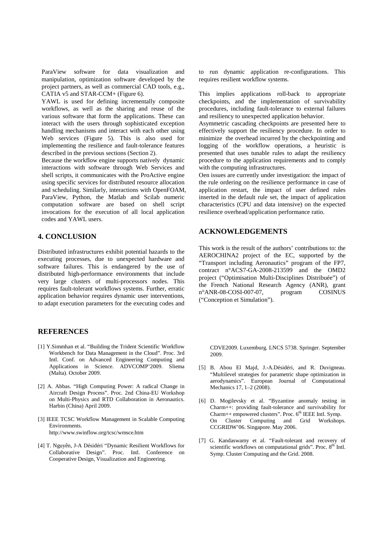ParaView software for data visualization and manipulation, optimization software developed by the project partners, as well as commercial CAD tools, e.g., CATIA v5 and STAR-CCM+ (Figure 6).

YAWL is used for defining incrementally composite workflows, as well as the sharing and reuse of the various software that form the applications. These can interact with the users through sophisticated exception handling mechanisms and interact with each other using Web services (Figure 5). This is also used for implementing the resilience and fault-tolerance features described in the previous sections (Section 2).

Because the workflow engine supports natively dynamic interactions with software through Web Services and shell scripts, it communicates with the ProActive engine using specific services for distributed resource allocation and scheduling. Similarly, interactions with OpenFOAM, ParaView, Python, the Matlab and Scilab numeric computation software are based on shell script invocations for the execution of all local application codes and YAWL users.

# **4. CONCLUSION**

Distributed infrastructures exhibit potential hazards to the executing processes, due to unexpected hardware and software failures. This is endangered by the use of distributed high-performance environments that include very large clusters of multi-processors nodes. This requires fault-tolerant workflows systems. Further, erratic application behavior requires dynamic user interventions, to adapt execution parameters for the executing codes and

#### **REFERENCES**

- [1] Y.Simmhan et al. "Building the Trident Scientific Workflow Workbench for Data Management in the Cloud". Proc. 3rd Intl. Conf. on Advanced Engineering Computing and Applications in Science. ADVCOMP'2009. Sliema (Malta). October 2009.
- [2] A. Abbas. "High Computing Power: A radical Change in Aircraft Design Process". Proc. 2nd China-EU Workshop on Multi-Physics and RTD Collaboration in Aeronautics. Harbin (China) April 2009.
- [3] IEEE TCSC Workflow Management in Scalable Computing Environments. http://www.swinflow.org/tcsc/wmsce.htm
- [4] T. Nguyên, J-A Désidéri "Dynamic Resilient Workflows for Collaborative Design". Proc. Intl. Conference on Cooperative Design, Visualization and Engineering.

to run dynamic application re-configurations. This requires resilient workflow systems.

This implies applications roll-back to appropriate checkpoints, and the implementation of survivability procedures, including fault-tolerance to external failures and resiliency to unexpected application behavior.

Asymmetric cascading checkpoints are presented here to effectively support the resiliency procedure. In order to minimize the overhead incurred by the checkpointing and logging of the workflow operations, a heuristic is presented that uses tunable rules to adapt the resiliency procedure to the application requirements and to comply with the computing infrastructures.

Oen issues are currently under investigation: the impact of the rule ordering on the resilience performance in case of application restart, the impact of user defined rules inserted in the default rule set, the impact of application characteristics (CPU and data intensive) on the expected resilience overhead/application performance ratio.

## **ACKNOWLEDGEMENTS**

This work is the result of the authors' contributions to: the AEROCHINA2 project of the EC, supported by the "Transport including Aeronautics" program of the FP7, contract n°ACS7-GA-2008-213599 and the OMD2 project ("Optimisation Multi-Disciplines Distribuée") of the French National Research Agency (ANR), grant n°ANR-08-COSI-007-07, program COSINUS ("Conception et Simulation").

 CDVE2009. Luxemburg. LNCS 5738. Springer. September 2009.

- [5] B. Abou El Majd, J.-A.Désidéri, and R. Duvigneau. "Multilevel strategies for parametric shape optimization in aerodynamics". European Journal of Computational Mechanics 17, 1–2 (2008).
- [6] D. Mogilevsky et al. "Byzantine anomaly testing in Charm++: providing fault-tolerance and survivability for Charm++ empowered clusters". Proc.  $6<sup>th</sup>$  IEEE Intl. Symp. On Cluster Computing and Grid Workshops. CCGRIDW'06. Singapore. May 2006.
- [7] G. Kandaswamy et al. "Fault-tolerant and recovery of scientific workflows on computational grids". Proc. 8<sup>th</sup> Intl. Symp. Cluster Computing and the Grid. 2008.